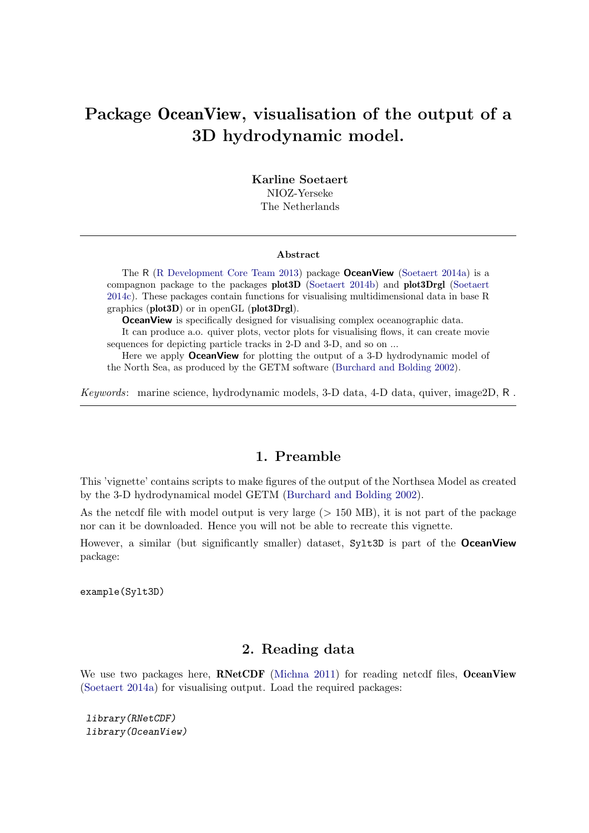# Package OceanView, visualisation of the output of a 3D hydrodynamic model.

Karline Soetaert NIOZ-Yerseke The Netherlands

#### Abstract

The R [\(R Development Core Team](#page-27-0) [2013\)](#page-27-0) package OceanView [\(Soetaert](#page-27-1) [2014a\)](#page-27-1) is a compagnon package to the packages plot3D [\(Soetaert](#page-27-2) [2014b\)](#page-27-2) and plot3Drgl [\(Soetaert](#page-27-3) [2014c\)](#page-27-3). These packages contain functions for visualising multidimensional data in base R graphics (plot3D) or in openGL (plot3Drgl).

**OceanView** is specifically designed for visualising complex oceanographic data.

It can produce a.o. quiver plots, vector plots for visualising flows, it can create movie sequences for depicting particle tracks in 2-D and 3-D, and so on ...

Here we apply **OceanView** for plotting the output of a 3-D hydrodynamic model of the North Sea, as produced by the GETM software [\(Burchard and Bolding](#page-27-4) [2002\)](#page-27-4).

Keywords: marine science, hydrodynamic models, 3-D data, 4-D data, quiver, image2D, R .

# 1. Preamble

This 'vignette' contains scripts to make figures of the output of the Northsea Model as created by the 3-D hydrodynamical model GETM [\(Burchard and Bolding](#page-27-4) [2002\)](#page-27-4).

As the netcdf file with model output is very large  $(> 150 \text{ MB})$ , it is not part of the package nor can it be downloaded. Hence you will not be able to recreate this vignette.

However, a similar (but significantly smaller) dataset, Sylt3D is part of the **OceanView** package:

example(Sylt3D)

### 2. Reading data

We use two packages here, **RNetCDF** [\(Michna](#page-27-5) [2011\)](#page-27-5) for reading netcdf files, **OceanView** [\(Soetaert](#page-27-1) [2014a\)](#page-27-1) for visualising output. Load the required packages:

library(RNetCDF) library(OceanView)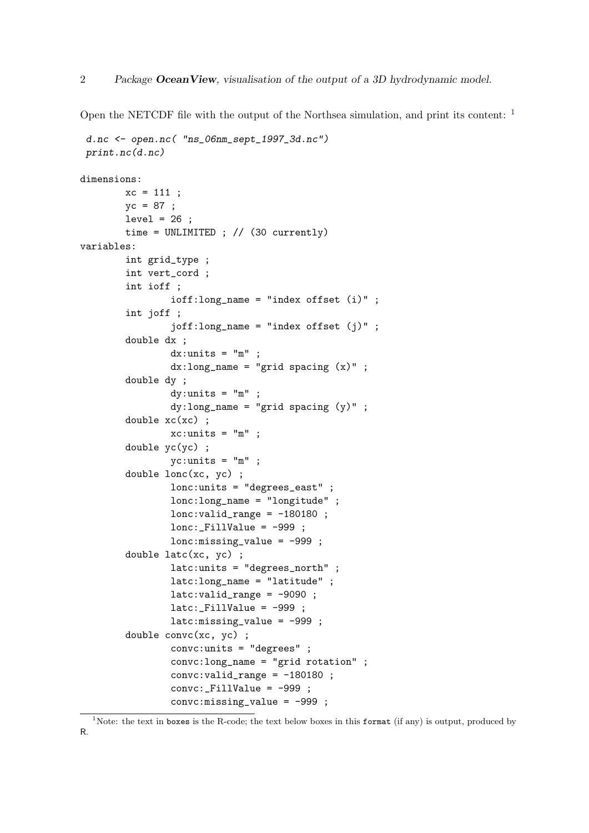Open the NETCDF file with the output of the Northsea simulation, and print its content: [1](#page-1-0)

```
d.nc <- open.nc( "ns_06nm_sept_1997_3d.nc")
print.nc(d.nc)
dimensions:
       xc = 111;
       yc = 87;
       level = 26;
        time = UNLIMITED ; // (30 currently)
variables:
        int grid_type ;
        int vert_cord ;
        int ioff ;
                ioff:long_name = "index offset (i)";
        int joff ;
                joff:long_name = "index offset (j)" ;
        double dx ;
                dx:units = "m";
                dx:long_name = "grid spacing (x)";
        double dy ;
                dy:units = "m";
                dy:long_name = "grid spacing (y)";
        double xc(xc) ;
                xc:units = "m";
        double yc(yc) ;
                yc:units = "m" ;
        double lonc(xc, yc) ;
                lonc:units = "degrees_east" ;
                lonc:long_name = "longitude" ;
                lonc:valid\_range = -180180;
                lonc: FillValue = -999;
                lonc:missing_value = -999;
        double latc(xc, yc) ;
                latc:units = "degrees_north" ;
                latc:long_name = "latitude" ;
                latc:valid\_range = -9090;
                late:-FillValue = -999;
                latc:missing_value = -999;
        double convc(xc, yc) ;
                convc:units = "degrees" ;
                convc:long_name = "grid rotation" ;
                convc:valid\_range = -180180;
                convc:-FillValue = -999;
                convc:missing_value = -999;
```
<span id="page-1-0"></span><sup>&</sup>lt;sup>1</sup>Note: the text in boxes is the R-code; the text below boxes in this format (if any) is output, produced by R.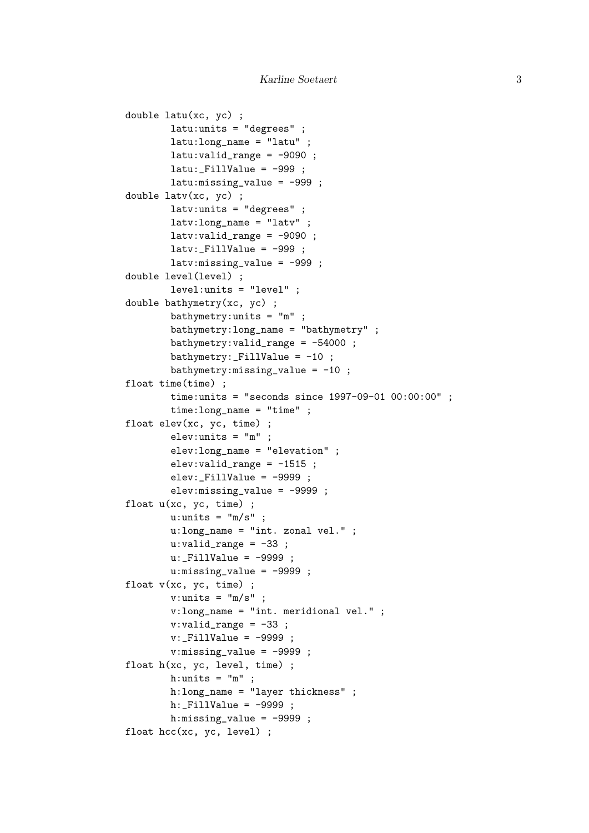```
double latu(xc, yc) ;
        latu:units = "degrees" ;
        latu:long_name = "latu" ;
        latu:valid\_range = -9090;
        latu: FillValue = -999 ;
        latu:missing_value = -999;
double latv(xc, yc) ;
       latv:units = "degrees" ;
        laty:long_name = "laty";
        latv:valid range = -9090 ;
        latur:-FillValue = -999;
        latv:missing_value = -999;
double level(level) ;
        level:units = "level" ;
double bathymetry(xc, yc) ;
        bathymetry:units = "m" ;
        bathymetry:long_name = "bathymetry" ;
        bathymetry: valid_range = -54000;
        bathymetry: _Fi11Value = -10;
        bathymetry:missing_value = -10;
float time(time) ;
        time:units = "seconds since 1997-09-01 00:00:00" ;
        time:long_name = "time" ;
float elev(xc, yc, time) ;
        elev:units = "m" ;
        elev:long_name = "elevation" ;
        elev:valid\_range = -1515;
        elev: FillValue = -9999;
        elev:missing_value = -9999 ;
float u(xc, yc, time) ;
       u:units = "m/s";
        u:long_name = "int. zonal vel." ;
        u:valid\_range = -33;
       u: FillValue = -9999;
       u:missing_value = -9999;
float v(xc, yc, time) ;
       v:units = "m/s";
        v:long_name = "int. meridional vel." ;
        v:valid\_range = -33;
        v:-FillValue = -9999;
        v:missing_value = -9999;
float h(xc, yc, level, time) ;
       h:units = "m" ;
       h:long_name = "layer thickness" ;
       h:-Fi11Value = -9999;
       h:missing_value = -9999;
float hcc(xc, yc, level) ;
```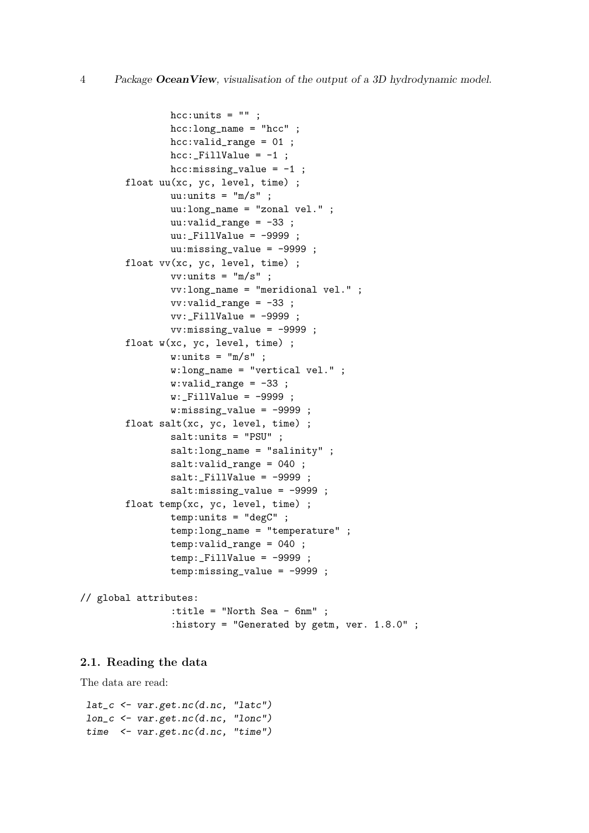```
hc:units = " ;
                hcclong_name = "hcc";
                hc:valid_range = 01 ;
                \text{hcc:}\_FillValue = -1 ;
                hcc:missing_value = -1 ;
        float uu(xc, yc, level, time) ;
                uu:units = 'm/s";
                uu:long_name = "zonal vel." ;
                uu:valid_range = -33;
                uu: FillValue = -9999 ;
                uu:missing_value = -9999;float vv(xc, yc, level, time) ;
                vv:units = "m/s";
                vv:long_name = "meridional vel." ;
                vv:valid\_range = -33;
                vv:-FillValue = -9999;
                vv:missing_value = -9999;
        float w(xc, yc, level, time) ;
                w:units = "m/s";
                w:long_name = "vertical vel." ;
                w:valid\_range = -33;
                w: FillValue = -9999 ;
                w:missing_value = -9999;
        float salt(xc, yc, level, time) ;
                salt:units = "PSU" ;
                salt:long_name = "salinity" ;
                salt:valid_range = 040 ;
                salt:-FillValue = -9999 ;
                salt:missing_value = -9999 ;
        float temp(xc, yc, level, time) ;
                temp:units = "degC" ;
                temp:long_name = "temperature" ;
                temp:valid\_range = 040;
                temp: - FillValue = -9999;
                temp:missing_value = -9999;
// global attributes:
```

```
:title = "North Sea - 6nm" ;
:history = "Generated by getm, ver. 1.8.0" ;
```
#### 2.1. Reading the data

The data are read:

```
lat_c \leftarrow var.get.nc(d.nc, "latc")lon_c <- var.get.nc(d.nc, "lonc")
time <- var.get.nc(d.nc, "time")
```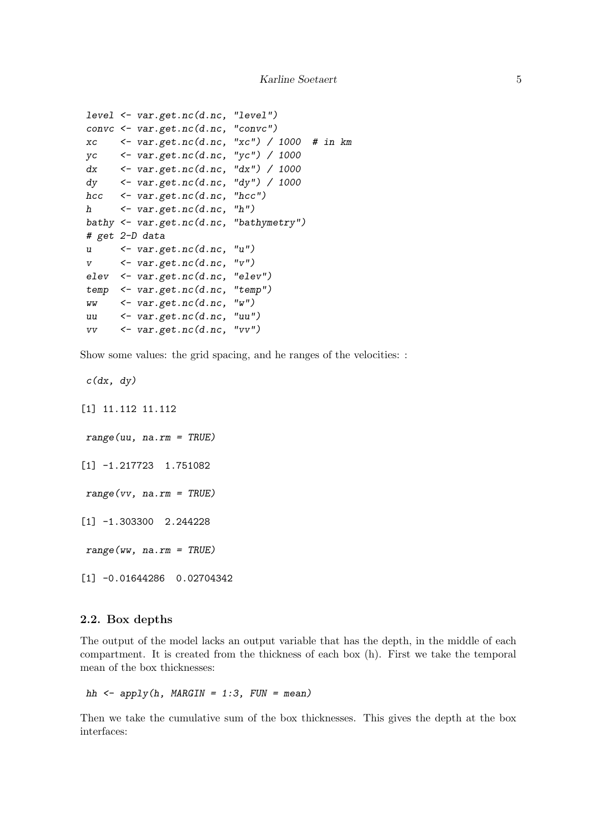```
level <- var.get.nc(d.nc, "level")
convc <- var.get.nc(d.nc, "convc")
xc <- var.get.nc(d.nc, "xc") / 1000 # in km
yc <- var.get.nc(d.nc, "yc") / 1000
dx <- var.get.nc(d.nc, "dx") / 1000
dy \leq -var.get.nc(d.nc, "dy") / 1000hcc <- var.get.nc(d.nc, "hcc")
h \leftarrow var.get.nc(d.nc, "h")
bathy <- var.get.nc(d.nc, "bathymetry")
# get 2-D data
u <- var.get.nc(d.nc, "u")
v \leftarrow \text{var.get}.\text{nc}(d.\text{nc}, \sqrt[n]{v^n})elev <- var.get.nc(d.nc, "elev")
temp <- var.get.nc(d.nc, "temp")
ww \leftarrow var.get.nc(d.nc, "w")uu <- var.get.nc(d.nc, "uu")
vv \leftarrow var.get.nc(d.nc, "vv")
```
Show some values: the grid spacing, and he ranges of the velocities: :

 $c(dx, dy)$ [1] 11.112 11.112 range(uu, na.rm = TRUE) [1] -1.217723 1.751082  $range(vv, na.rm = TRUE)$ [1] -1.303300 2.244228  $range(ww, na.rm = TRUE)$ [1] -0.01644286 0.02704342

#### 2.2. Box depths

The output of the model lacks an output variable that has the depth, in the middle of each compartment. It is created from the thickness of each box (h). First we take the temporal mean of the box thicknesses:

```
hh \leftarrow apply(h, MARGIN = 1:3, FUN = mean)
```
Then we take the cumulative sum of the box thicknesses. This gives the depth at the box interfaces: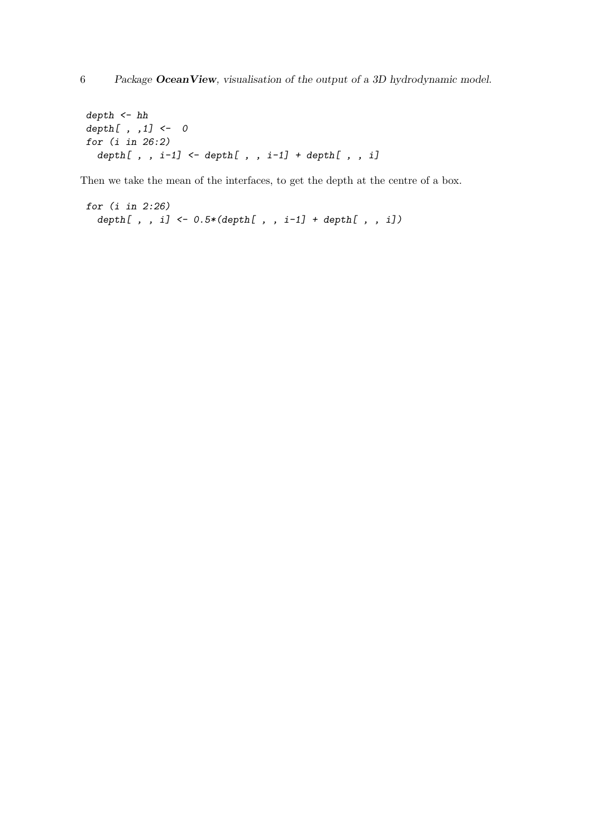```
depth <- hh
depth[, , 1] <- 0
for (i in 26:2)
 depth[ , , i-1] <- depth[ , , i-1] + depth[ , , i]
```
Then we take the mean of the interfaces, to get the depth at the centre of a box.

```
for (i in 2:26)
 depth[,, i] <- 0.5*(depth[, i-1] + depth[,, i])
```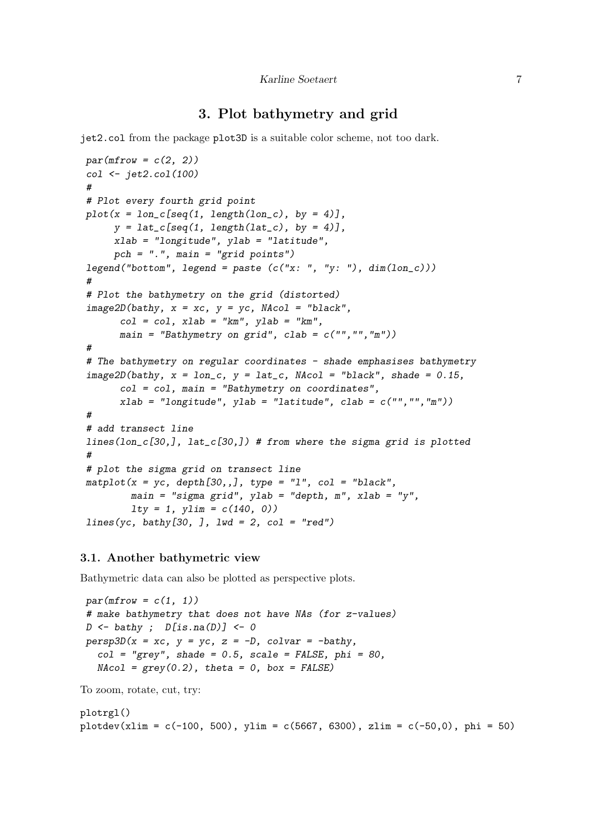### 3. Plot bathymetry and grid

jet2.col from the package plot3D is a suitable color scheme, not too dark.

```
par(mfrow = c(2, 2))col \leftarrow jet2,col(100)#
# Plot every fourth grid point
plot(x = lon_c[seq(1, length(lon_c), by = 4)],y = lat_c[seq(1, length(lat_c), by = 4)],xlab = "longitude", ylab = "latitude",
     pch = ".", main = "grid points")
legend("bottom", legend = paste (c("x: ", "y: "); dim(lon_c)))#
# Plot the bathymetry on the grid (distorted)
image2D(bathy, x = xc, y = yc, MACol = "black",col = col, xlab = "km", ylab = "km",main = "Bathymetry on grid", clab = c("", "", "m"))
#
# The bathymetry on regular coordinates - shade emphasises bathymetry
image2D(bathy, x = lon_c, y = lat_c, Mcool = "black", shade = 0.15,col = col, main = "Bathymetry on coordinates",
      xlab = "longitude", ylab = "latitude", clab = c("", "", "m"))#
# add transect line
lines(lon_c[30,], lat_c[30,]) # from where the sigma grid is plotted
#
# plot the sigma grid on transect line
matplot(x = yc, depth[30,,], type = "1", col = "black",
        main = "sigma grid", ylab = "depth, m'', xlab = "y",
        lty = 1, ylim = c(140, 0)lines(yc, bathy[30,], lwd = 2, col = "red")
```
#### 3.1. Another bathymetric view

Bathymetric data can also be plotted as perspective plots.

```
par(mfrow = c(1, 1))# make bathymetry that does not have NAs (for z-values)
D \leftarrow bathy ; D[is.na(D)] \leftarrow 0
persp3D(x = xc, y = yc, z = -D, colvar = -bathy,col = "grey", shade = 0.5, scale = FALSE, phi = 80,M_{\text{Acol}} = \text{grey}(0.2), theta = 0, box = FALSE)
```
To zoom, rotate, cut, try:

```
plotrgl()
plotdev(xlim = c(-100, 500), ylim = c(5667, 6300), zlim = c(-50,0), phi = 50)
```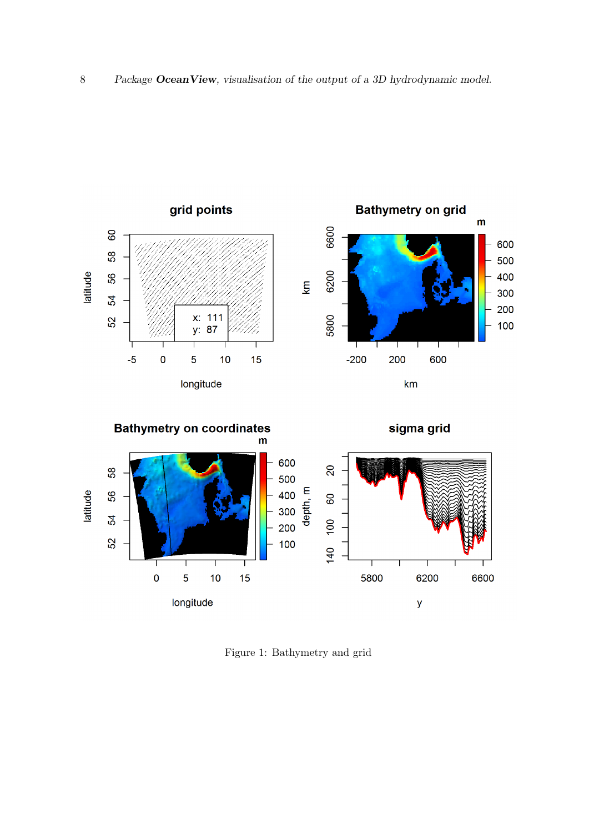



Figure 1: Bathymetry and grid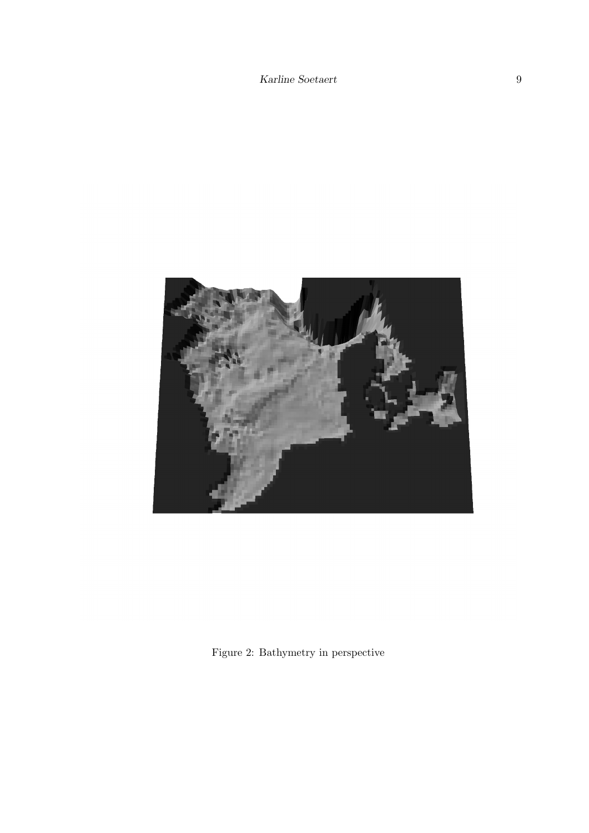

Figure 2: Bathymetry in perspective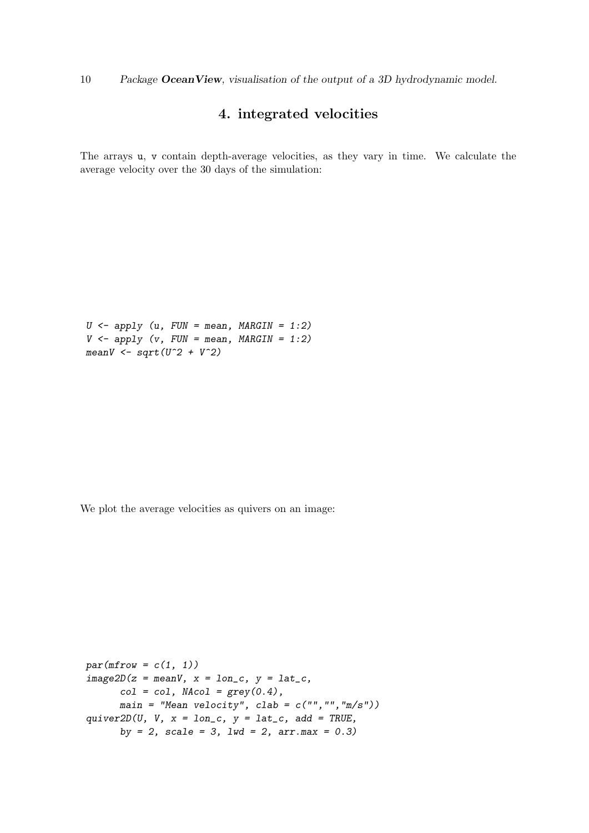# 4. integrated velocities

The arrays u, v contain depth-average velocities, as they vary in time. We calculate the average velocity over the 30 days of the simulation:

```
U \leftarrow apply (u, FUN = mean, MARGIN = 1:2)
V \leftarrow apply (v, FUN = mean, MARGIN = 1:2)meanV \leftarrow sqrt(U^2 + V^2)
```
We plot the average velocities as quivers on an image:

```
par(mfrow = c(1, 1))image2D(z = meanV, x = lon_c, y = lat_c,col = col, Mcol = grey(0.4),
      main = "Mean velocity", clab = c("", "", "m/s"))
quiver2D(U, V, x = \text{lon}_c, y = \text{lat}_c, add = TRUE,
      by = 2, scale = 3, 1wd = 2, arr.max = 0.3)
```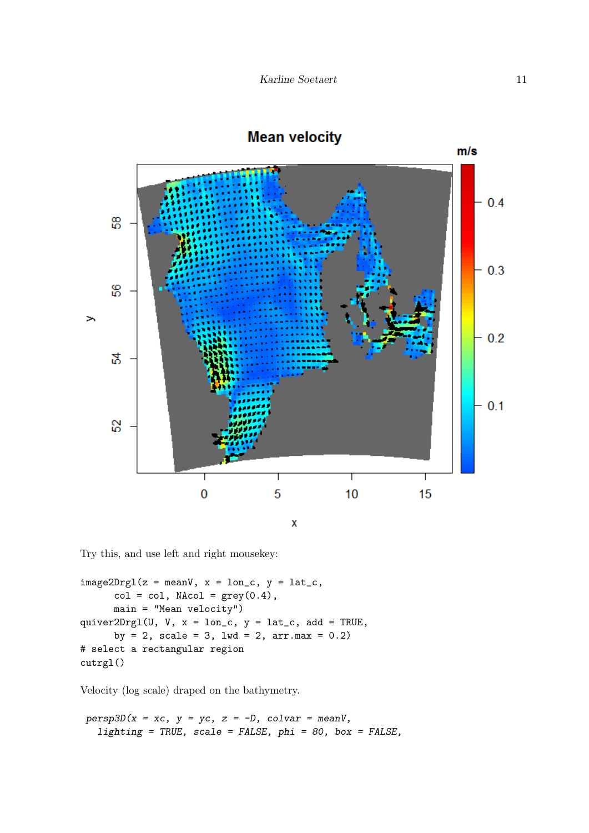



Try this, and use left and right mousekey:

```
image2Drgl(z = meanV, x = lon_c, y = lat_c,col = col, NAcol = grey(0.4),
      main = "Mean velocity")
quiver2Drgl(U, V, x = \text{lon}_c, y = \text{lat}_c, add = TRUE,
      by = 2, scale = 3, 1wd = 2, arr.max = 0.2)
# select a rectangular region
cutrgl()
```
Velocity (log scale) draped on the bathymetry.

 $persp3D(x = xc, y = yc, z = -D, colvar = meanV,$ lighting = TRUE, scale = FALSE, phi =  $80$ , box = FALSE,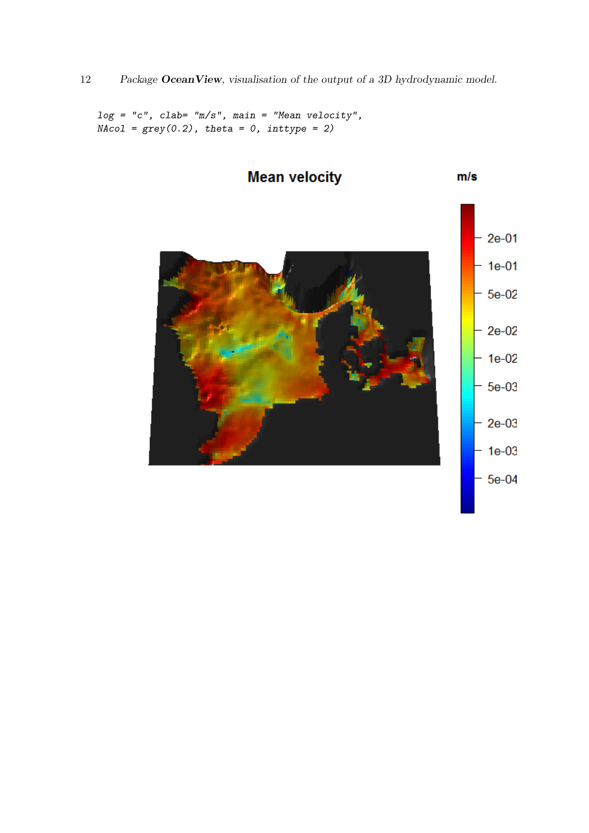12 Package OceanView, visualisation of the output of a 3D hydrodynamic model.

```
log = "c", clab = "m/s", main = "Mean velocity",M_{\text{cool}} = \text{grey}(0.2), theta = 0, inttype = 2)
```
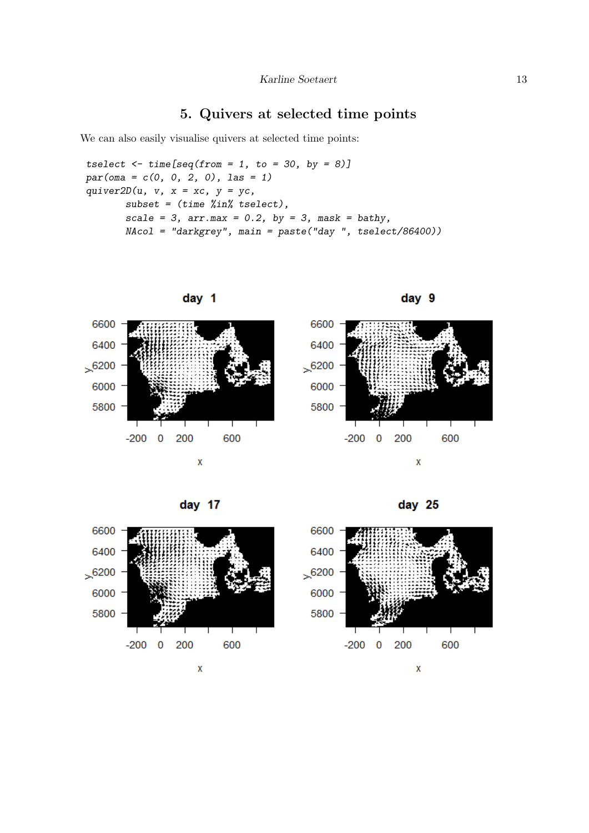# 5. Quivers at selected time points

We can also easily visualise quivers at selected time points:

```
tselect \le time[seq(from = 1, to = 30, by = 8)]
par(oma = c(0, 0, 2, 0), las = 1)quiver2D(u, v, x = xc, y = yc,subset = (time \; %in\; test),
       scale = 3, arr.max = 0.2, by = 3, mask = bathy,
       NAcol = "darkgrey", main = paste("day ", tselect/86400))
```


day 9







X

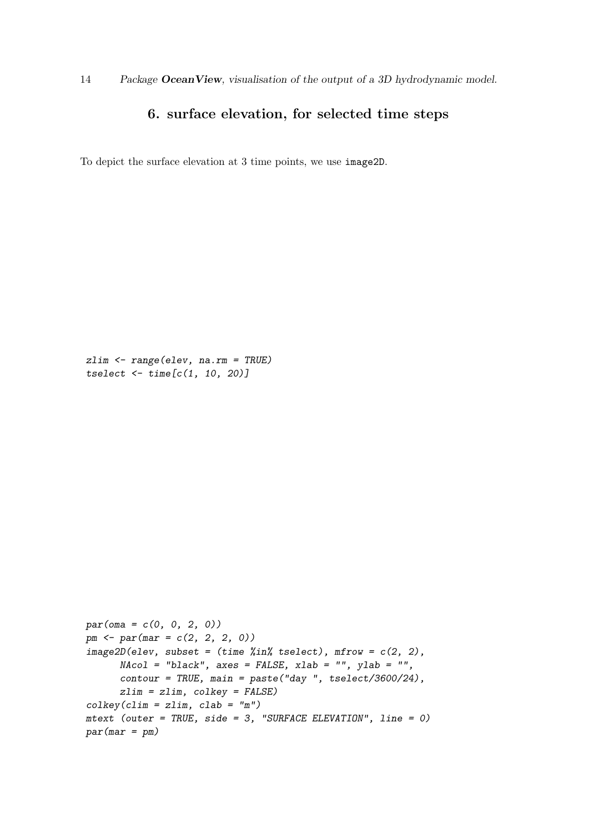14 Package OceanView, visualisation of the output of a 3D hydrodynamic model.

# 6. surface elevation, for selected time steps

To depict the surface elevation at 3 time points, we use image2D.

```
zlim <- range(elev, na.rm = TRUE)
tselect \le time[c(1, 10, 20)]
```

```
par(oma = c(0, 0, 2, 0))pm < - par(max = c(2, 2, 2, 0))image2D(elev, subset = (time %in% tselect), mfrom = c(2, 2),MACol = "black", axes = FALSE, xlab = "", ylab = "",contour = TRUE, main = paste("day ", tselect/3600/24),
      zlim = zlim, colkey = FALSE)
colkey(clim = zlim, clab = "m")mtext (outer = TRUE, side = 3, "SURFACE ELEVATION", line = 0)
par(max = pm)
```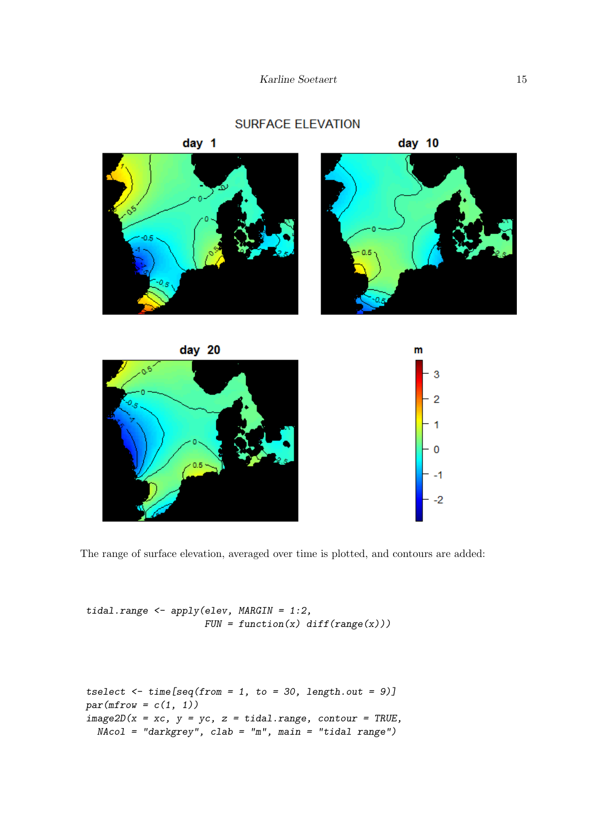

**SURFACE ELEVATION** 







The range of surface elevation, averaged over time is plotted, and contours are added:

```
tidal.range <- apply(elev, MARGIN = 1:2,
                    FUN = function(x) diff(range(x))
```

```
tselect \le time[seq(from = 1, to = 30, length.out = 9)]
par(mfrow = c(1, 1))image2D(x = xc, y = yc, z = tidal.random, contour = TRUE,Macol = "darkgrey", clab = "m", main = "tidal range")
```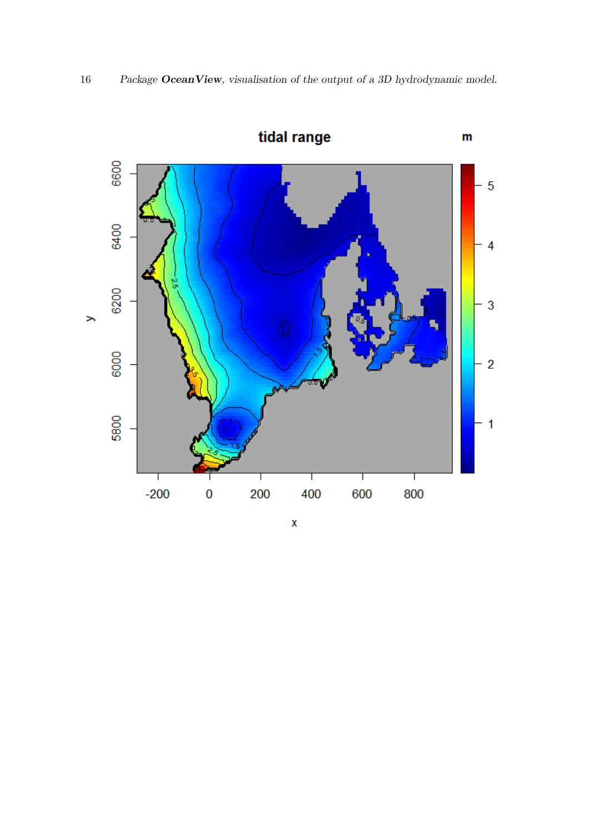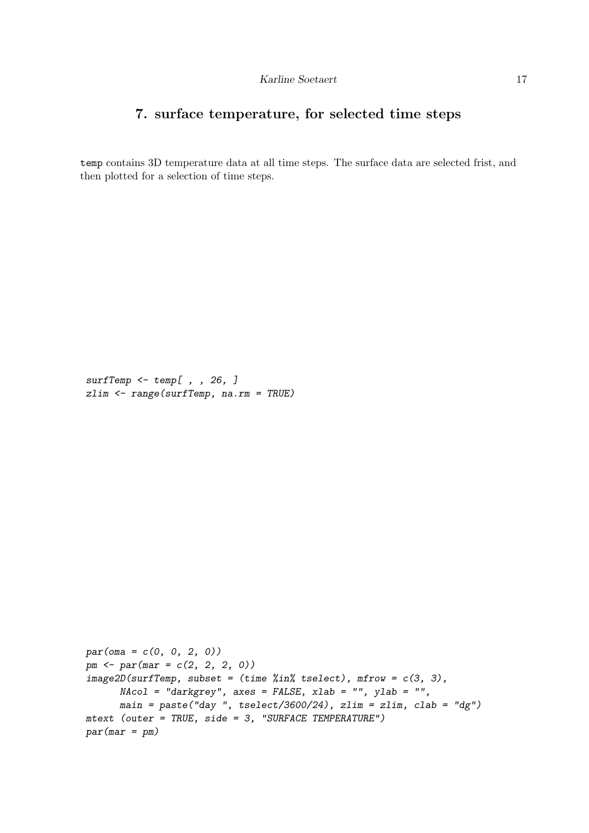# 7. surface temperature, for selected time steps

temp contains 3D temperature data at all time steps. The surface data are selected frist, and then plotted for a selection of time steps.

```
surfTemp <- temp[,, 26, ]
zlim <- range(surfTemp, na.rm = TRUE)
```

```
par(oma = c(0, 0, 2, 0))pm < - par(max = c(2, 2, 2, 0))image2D(surfTemp, subset = (time %in% tselect), mfrom = c(3, 3),Macol = "darkgrey", axes = FALSE, xlab = "", ylab = "",main = paste("day ", tselect/3600/24), zlim = zlim, clab = "dg")
mtext (outer = TRUE, side = 3, "SURFACE TEMPERATURE")
par(max = pm)
```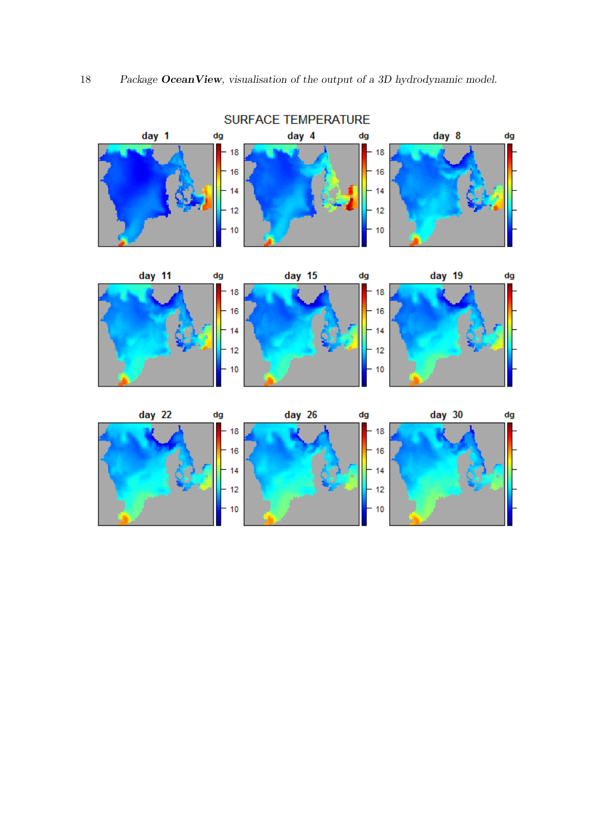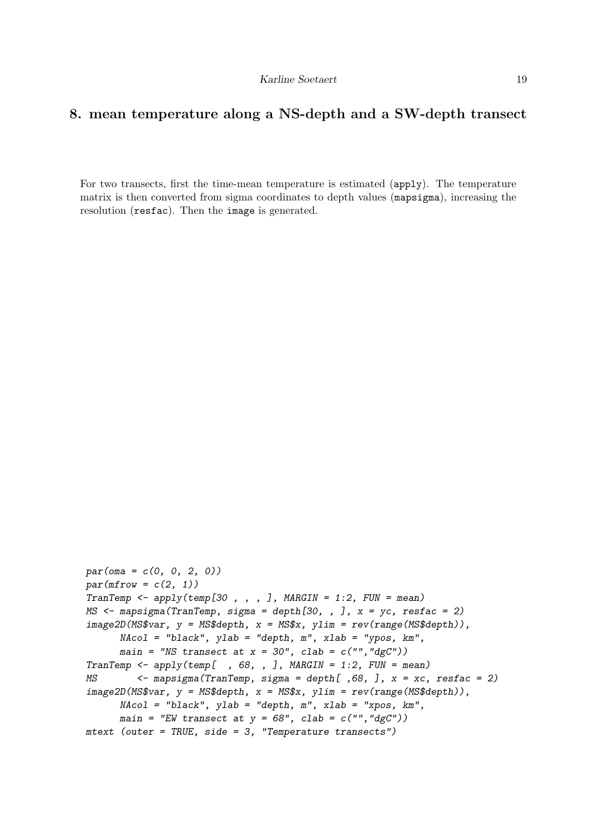# 8. mean temperature along a NS-depth and a SW-depth transect

For two transects, first the time-mean temperature is estimated (apply). The temperature matrix is then converted from sigma coordinates to depth values (mapsigma), increasing the resolution (resfac). Then the image is generated.

```
par(oma = c(0, 0, 2, 0))par(mfrow = c(2, 1))TranTemp \leq apply(temp[30,,,,], MARGIN = 1:2, FUN = mean)
MS \leftarrow mapsigma(TranTemp, sigma = depth[30, , ], x = yc, resfac = 2)
image2D(MS$var, y = MS$depth, x = MS$x, ylim = rev(range(MS$depth)),Macol = "black", ylab = "depth, m", xlab = "ypos, km",main = "NS transect at x = 30", clab = c("", "dgC"))
TranTemp \leq apply(temp[, 68, , ], MARGIN = 1:2, FUN = mean)
MS <- mapsigma(TranTemp, sigma = depth[,68, ], x = xc, resfac = 2)
image2D(MS$var, y = MS$depth, x = MS$x, ylim = rev(range(MS$depth)),Macol = "black", ylab = "depth, m", xlab = "xpos, km",main = "EW transect at y = 68", clab = c("", "dgC"))
mtext (outer = TRUE, side = 3, "Temperature transects")
```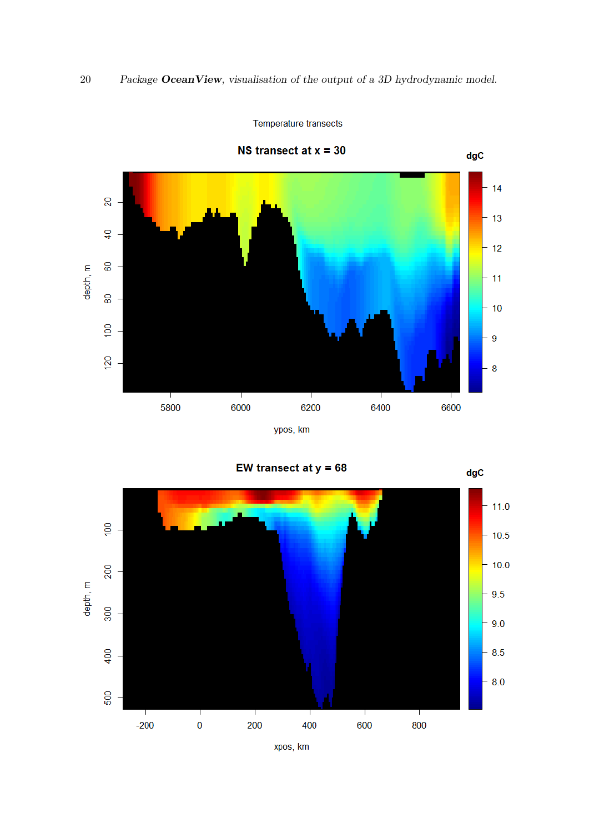





ypos, km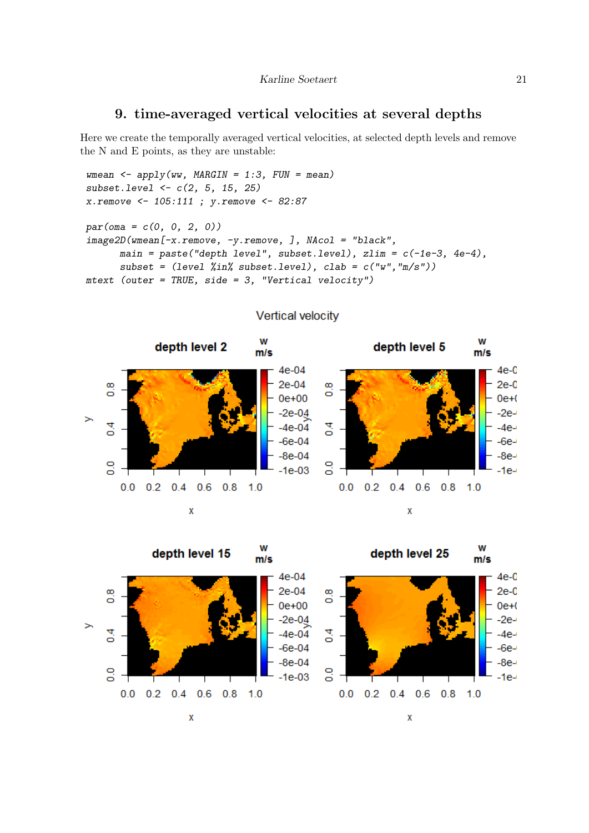### 9. time-averaged vertical velocities at several depths

Here we create the temporally averaged vertical velocities, at selected depth levels and remove the N and E points, as they are unstable:

```
wmean \leq apply(ww, \text{ MARGIN} = 1:3, \text{ FUN} = \text{mean})subset.level <- c(2, 5, 15, 25)
x.remove <- 105:111 ; y.remove <- 82:87
par(oma = c(0, 0, 2, 0))image2D(wmean[-x.remove, -y.remove, ], NAcol = "black",
       main = paste("depth level", subset.level), zlim = c(-1e-3, 4e-4),
       subset = (\text{level } \frac{\pi}{6} \text{in} \frac{\pi}{6} \text{ subset } \text{level}), \text{ club} = c("w", "m/s"))mtext (outer = TRUE, side = 3, "Vertical velocity")
```




#### **Vertical velocity**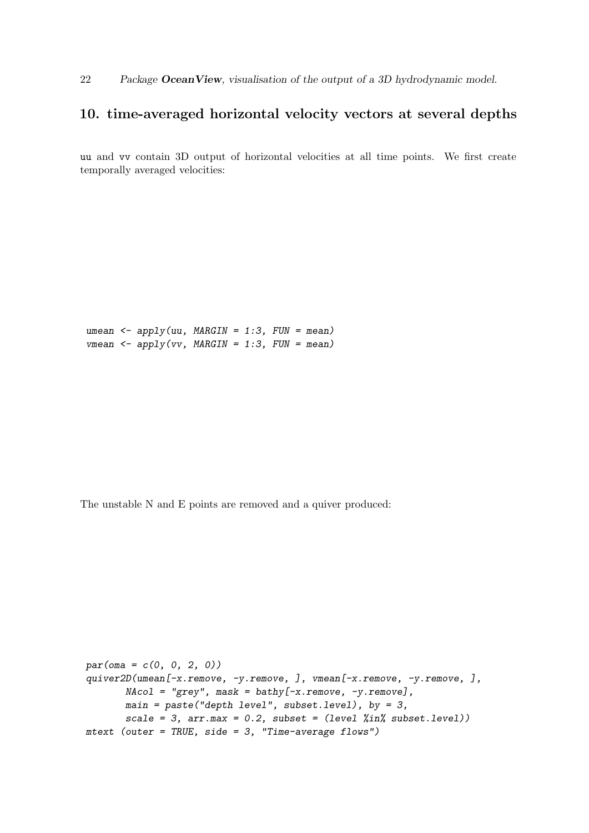# 10. time-averaged horizontal velocity vectors at several depths

uu and vv contain 3D output of horizontal velocities at all time points. We first create temporally averaged velocities:

```
umean \leq apply(uu, MARGIN = 1:3, FUN = mean)
vmean \leq apply(vv, \text{ MARGIN} = 1:3, \text{ FUN} = \text{mean})
```
The unstable N and E points are removed and a quiver produced:

```
par(oma = c(0, 0, 2, 0))quiver2D(umean[-x.remove, -y.remove, ], vmean[-x.remove, -y.remove, ],
       M_{\text{Acol}} = "grey", mask = bathy[-x.remove, -y.remove],
       main = paste("depth level", subset.level), by = 3,
       scale = 3, arr.max = 0.2, subset = (level \n  <i>1</i>in% subset.level))
mtext (outer = TRUE, side = 3, "Time-average flows")
```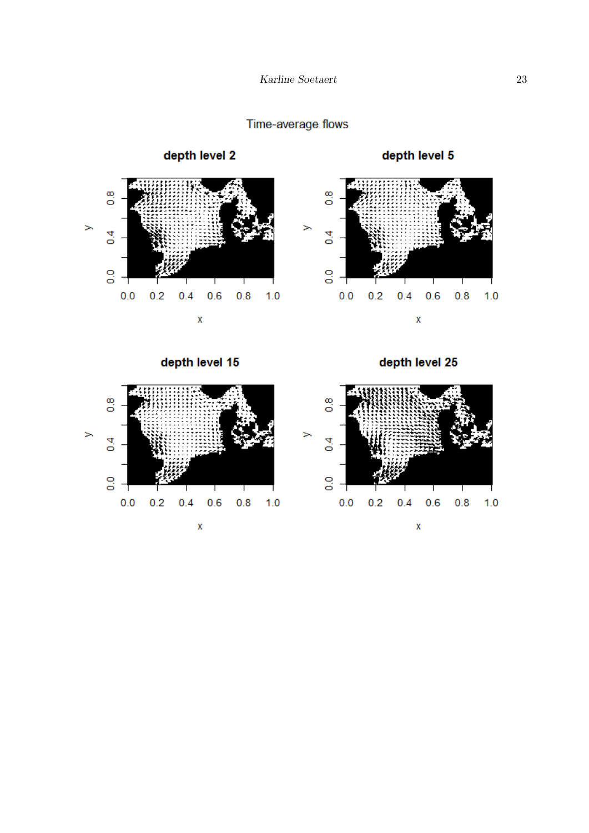





X



depth level 25

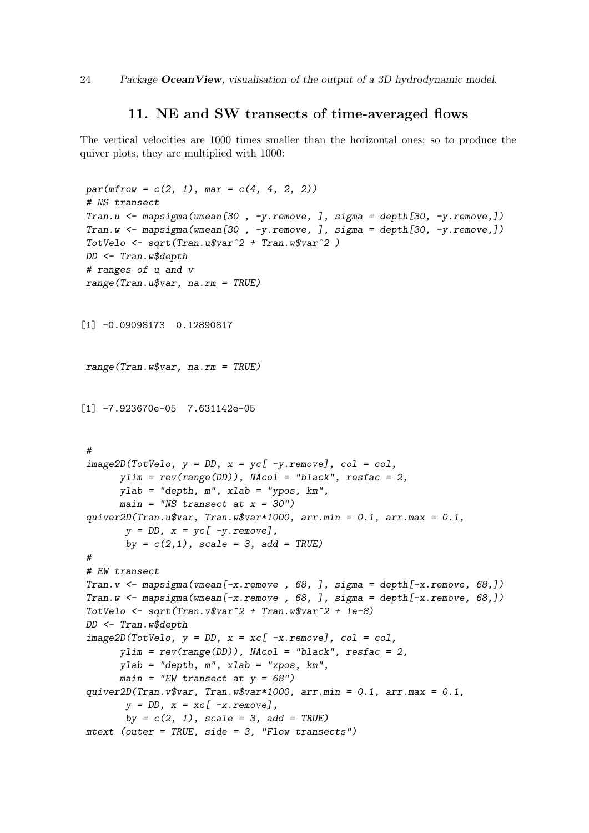## 11. NE and SW transects of time-averaged flows

The vertical velocities are 1000 times smaller than the horizontal ones; so to produce the quiver plots, they are multiplied with 1000:

```
par(mfrow = c(2, 1), mar = c(4, 4, 2, 2))# NS transect
Tran.u <- mapsigma(umean[30 , -y.remove, ], sigma = depth[30, -y.remove,])
Tran.w \leq mapsigma(wmean[30, -y.remove, ], sigma = depth[30, -y.remove,])
TotVelo <- sqrt(Tran.u$var^2 + Tran.w$var^2 )
DD <- Tran.w$depth
# ranges of u and v
range(Tran.u$var, na.rm = TRUE)
[1] -0.09098173 0.12890817
range(Tran.w$var, na.rm = TRUE)
[1] -7.923670e-05 7.631142e-05
#
image2D(TotVelo, y = DD, x = yc[ -y.remove], col = col,vlim = rev(range(DD)), NAcol = "black", resfac = 2,
      ylab = "depth, m", xlab = "ypos, km",main = "NS transect at x = 30")
quiver2D(Tran.u$var, Tran.w$var*1000, arr.min = 0.1, arr.max = 0.1,
       y = DD, x = yc[ -y.remove],
       by = c(2,1), scale = 3, add = TRUE)
#
# EW transect
Tran.v <- mapsigma(vmean[-x.remove , 68, ], sigma = depth[-x.remove, 68,])
Tran.w \leq mapsigma(wmean[-x.remove, 68, ], sigma = depth[-x.remove, 68,])
TotVelo \leq sqrt(Tran.v$var^2 + Tran.w$var^2 + 1e-8)
DD <- Tran.w$depth
image2D(TotVelo, y = DD, x = xc[-x.remove], col = col,vlim = rev(range(DD)), Mcol = "black", resfac = 2,
      ylab = "depth, m'', xlab = "xpos, km'',
      main = "EW transect at y = 68")
quiver2D(Tran.v$var, Tran.w$var*1000, arr.min = 0.1, arr.max = 0.1,
       y = DD, x = xc[-x.remove],
       by = c(2, 1), scale = 3, add = TRUE)
mtext (outer = TRUE, side = 3, "Flow transects")
```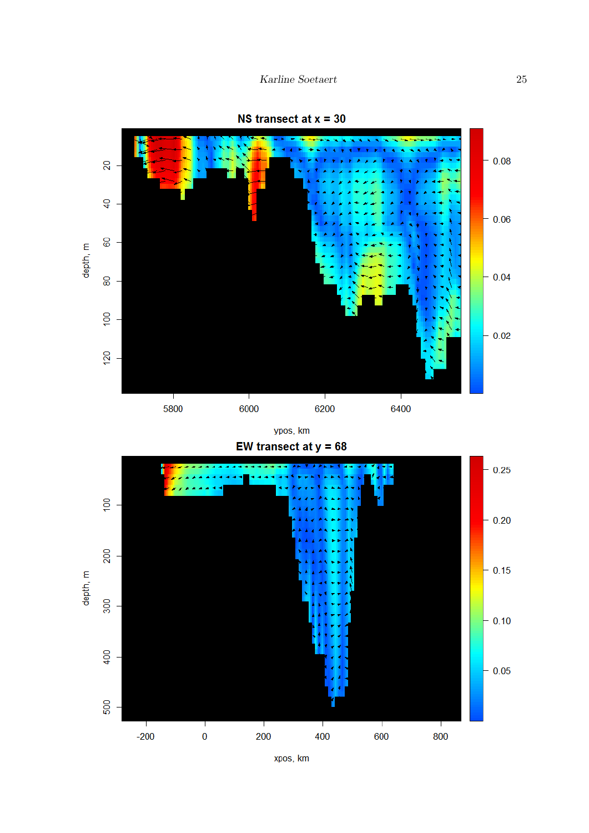NS transect at  $x = 30$ 



ypos, km EW transect at  $y = 68$ 



xpos, km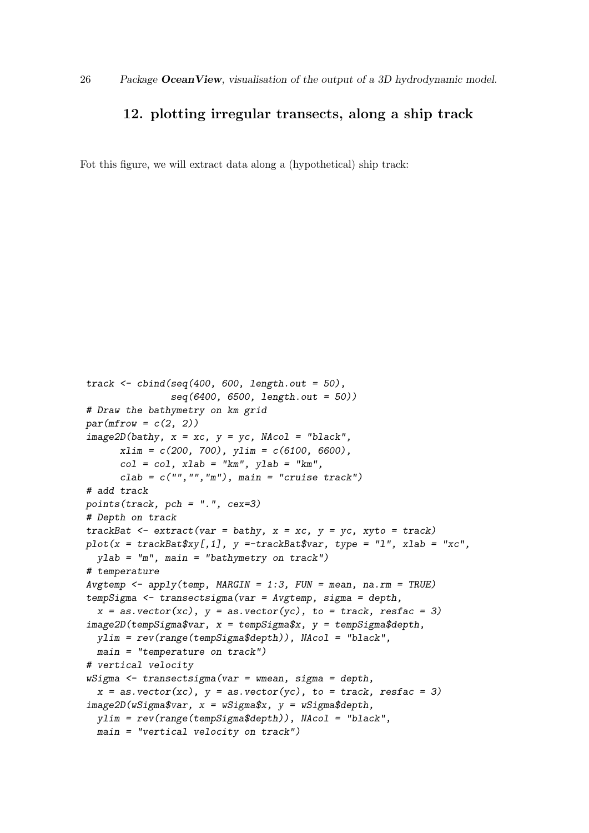## 12. plotting irregular transects, along a ship track

Fot this figure, we will extract data along a (hypothetical) ship track:

```
track \leftarrow cbind(seq(400, 600, length.out = 50),
               seq(6400, 6500, length.out = 50))# Draw the bathymetry on km grid
par(mfrow = c(2, 2))image2D(bathy, x = xc, y = yc, MACol = "black",xlim = c(200, 700), ylim = c(6100, 6600),col = col, xlab = "km", ylab = "km",clab = c("", "", "m"), main = "cruise track")
# add track
points(trainck, pch = ".", cex=3)# Depth on track
trackBat \leq extract (var = bathy, x = xc, y = yc, xyto = track)
plot(x = trackBat\{y[, 1], y = -trackBat\{var, type = "l", xlab = "xc",
  ylab = "m", main = "bathymetry on track")
# temperature
A \vee gtemp \leq apply(temp, MARGIN = 1:3, FUN = mean, na.rm = TRUE)
tempSigma <- transectsigma(var = Avgtemp, sigma = depth,
  x = as.vector(xc), y = as.vector(yc), to = track, resfac = 3)image2D(tempSigma$ var, x = tempSigma$ x, y = tempSigma$ depth,ylim = rev(range(tempSigma$depth)), NAcol = "black",
  main = "temperature on track")
# vertical velocity
wSigma \leftarrow transect sigma(var = wmean, sigma = depth,x = as.vector(xc), y = as.vector(yc), to = track, resfac = 3)image2D(wSigma$ x - x = wSigma$ x, y = wSigma$ x + x = wSigma$ xylim = rev(range(tempSigma$depth)), NAcol = "black",
  main = "vertical velocity on track")
```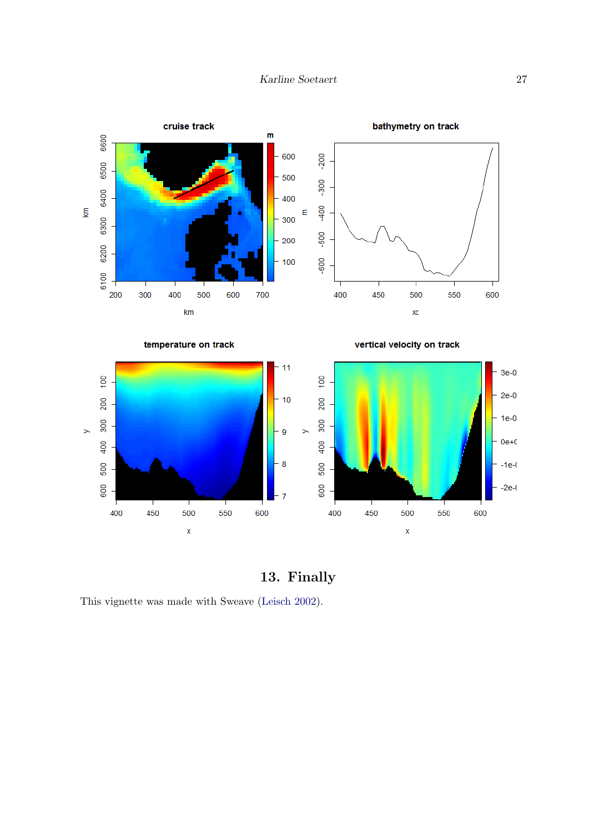

13. Finally

This vignette was made with Sweave [\(Leisch](#page-27-6) [2002\)](#page-27-6).